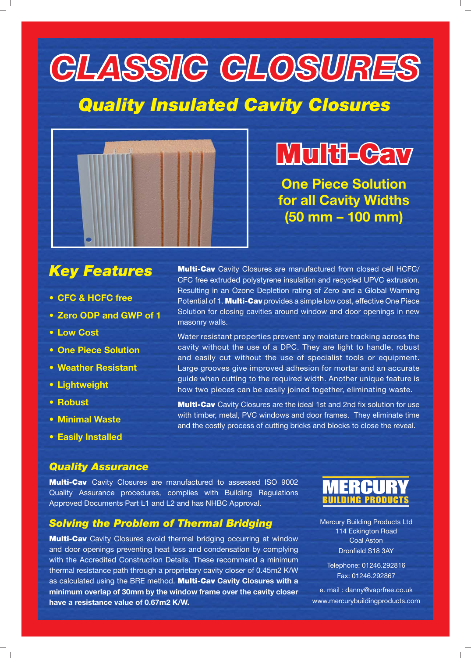# **CLASSIC CLOSURES**

## *Quality Insulated Cavity Closures*



## **Multi-Cav ulti-Cav**

**One Piece Solution for all Cavity Widths (50 mm – 100 mm)**

**Multi-Cav** Cavity Closures are manufactured from closed cell HCFC/ CFC free extruded polystyrene insulation and recycled UPVC extrusion. Resulting in an Ozone Depletion rating of Zero and a Global Warming Potential of 1. **Multi-Cav** provides a simple low cost, effective One Piece Solution for closing cavities around window and door openings in new

Water resistant properties prevent any moisture tracking across the cavity without the use of a DPC. They are light to handle, robust and easily cut without the use of specialist tools or equipment. Large grooves give improved adhesion for mortar and an accurate guide when cutting to the required width. Another unique feature is how two pieces can be easily joined together, eliminating waste.

**Multi-Cav** Cavity Closures are the ideal 1st and 2nd fix solution for use with timber, metal, PVC windows and door frames. They eliminate time and the costly process of cutting bricks and blocks to close the reveal.

### *Key Features*

- **CFC & HCFC free**
- **Zero ODP and GWP of 1**
- **Low Cost**
- **One Piece Solution**
- **Weather Resistant**
- **Lightweight**
- **Robust**
- **Minimal Waste**
- **Easily Installed**

#### *Quality Assurance*

**Multi-Cav** Cavity Closures are manufactured to assessed ISO 9002 Quality Assurance procedures, complies with Building Regulations Approved Documents Part L1 and L2 and has NHBC Approval.

masonry walls.

#### *Solving the Problem of Thermal Bridging*

**Multi-Cav** Cavity Closures avoid thermal bridging occurring at window and door openings preventing heat loss and condensation by complying with the Accredited Construction Details. These recommend a minimum thermal resistance path through a proprietary cavity closer of 0.45m2 K/W as calculated using the BRE method. **Multi-Cav Cavity Closures with a minimum overlap of 30mm by the window frame over the cavity closer have a resistance value of 0.67m2 K/W.**



Mercury Building Products Ltd 114 Eckington Road Coal Aston Dronfield S18 3AY

Telephone: 01246.292816 Fax: 01246.292867

e. mail : danny@vaprfree.co.uk www.mercurybuildingproducts.com